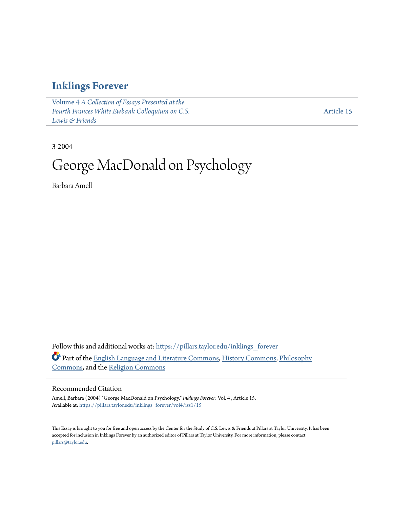## **[Inklings Forever](https://pillars.taylor.edu/inklings_forever?utm_source=pillars.taylor.edu%2Finklings_forever%2Fvol4%2Fiss1%2F15&utm_medium=PDF&utm_campaign=PDFCoverPages)**

Volume 4 *[A Collection of Essays Presented at the](https://pillars.taylor.edu/inklings_forever/vol4?utm_source=pillars.taylor.edu%2Finklings_forever%2Fvol4%2Fiss1%2F15&utm_medium=PDF&utm_campaign=PDFCoverPages) [Fourth Frances White Ewbank Colloquium on C.S.](https://pillars.taylor.edu/inklings_forever/vol4?utm_source=pillars.taylor.edu%2Finklings_forever%2Fvol4%2Fiss1%2F15&utm_medium=PDF&utm_campaign=PDFCoverPages) [Lewis & Friends](https://pillars.taylor.edu/inklings_forever/vol4?utm_source=pillars.taylor.edu%2Finklings_forever%2Fvol4%2Fiss1%2F15&utm_medium=PDF&utm_campaign=PDFCoverPages)*

[Article 15](https://pillars.taylor.edu/inklings_forever/vol4/iss1/15?utm_source=pillars.taylor.edu%2Finklings_forever%2Fvol4%2Fiss1%2F15&utm_medium=PDF&utm_campaign=PDFCoverPages)

3-2004

# George MacDonald on Psychology

Barbara Amell

Follow this and additional works at: [https://pillars.taylor.edu/inklings\\_forever](https://pillars.taylor.edu/inklings_forever?utm_source=pillars.taylor.edu%2Finklings_forever%2Fvol4%2Fiss1%2F15&utm_medium=PDF&utm_campaign=PDFCoverPages) Part of the [English Language and Literature Commons](http://network.bepress.com/hgg/discipline/455?utm_source=pillars.taylor.edu%2Finklings_forever%2Fvol4%2Fiss1%2F15&utm_medium=PDF&utm_campaign=PDFCoverPages), [History Commons,](http://network.bepress.com/hgg/discipline/489?utm_source=pillars.taylor.edu%2Finklings_forever%2Fvol4%2Fiss1%2F15&utm_medium=PDF&utm_campaign=PDFCoverPages) [Philosophy](http://network.bepress.com/hgg/discipline/525?utm_source=pillars.taylor.edu%2Finklings_forever%2Fvol4%2Fiss1%2F15&utm_medium=PDF&utm_campaign=PDFCoverPages) [Commons,](http://network.bepress.com/hgg/discipline/525?utm_source=pillars.taylor.edu%2Finklings_forever%2Fvol4%2Fiss1%2F15&utm_medium=PDF&utm_campaign=PDFCoverPages) and the [Religion Commons](http://network.bepress.com/hgg/discipline/538?utm_source=pillars.taylor.edu%2Finklings_forever%2Fvol4%2Fiss1%2F15&utm_medium=PDF&utm_campaign=PDFCoverPages)

### Recommended Citation

Amell, Barbara (2004) "George MacDonald on Psychology," *Inklings Forever*: Vol. 4 , Article 15. Available at: [https://pillars.taylor.edu/inklings\\_forever/vol4/iss1/15](https://pillars.taylor.edu/inklings_forever/vol4/iss1/15?utm_source=pillars.taylor.edu%2Finklings_forever%2Fvol4%2Fiss1%2F15&utm_medium=PDF&utm_campaign=PDFCoverPages)

This Essay is brought to you for free and open access by the Center for the Study of C.S. Lewis & Friends at Pillars at Taylor University. It has been accepted for inclusion in Inklings Forever by an authorized editor of Pillars at Taylor University. For more information, please contact [pillars@taylor.edu.](mailto:pillars@taylor.edu)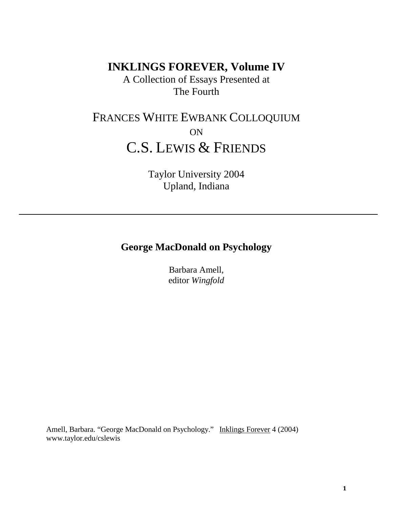**INKLINGS FOREVER, Volume IV**

A Collection of Essays Presented at The Fourth

# FRANCES WHITE EWBANK COLLOQUIUM ON C.S. LEWIS & FRIENDS

Taylor University 2004 Upland, Indiana

## **George MacDonald on Psychology**

Barbara Amell, editor *Wingfold*

Amell, Barbara. "George MacDonald on Psychology." Inklings Forever 4 (2004) www.taylor.edu/cslewis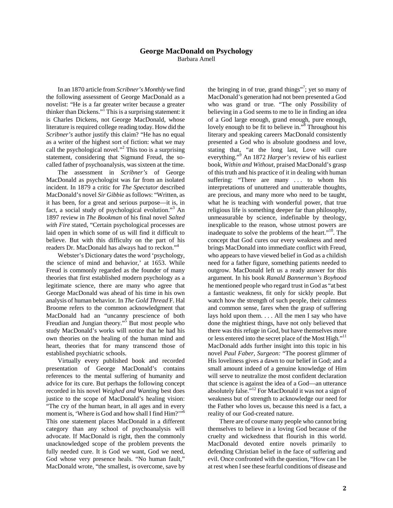### **George MacDonald on Psychology**

Barbara Amell

In an 1870 article from *Scribner's Monthly* we find the following assessment of George MacDonald as a novelist: "He is a far greater writer because a greater thinker than Dickens."<sup>I</sup> This is a surprising statement: it is Charles Dickens, not George MacDonald, whose literature is required college reading today. How did the *Scribner's* author justify this claim? "He has no equal as a writer of the highest sort of fiction: what we may call the psychological novel."<sup>2</sup> This too is a surprising statement, considering that Sigmund Freud, the socalled father of psychoanalysis, was sixteen at the time.

The assessment in *Scribner's* of George MacDonald as psychologist was far from an isolated incident. In 1879 a critic for *The Spectator* described MacDonald's novel *Sir Gibbie* as follows: "Written, as it has been, for a great and serious purpose—it is, in fact, a social study of psychological evolution."<sup>3</sup> An 1897 review in *The Bookman* of his final novel *Salted with Fire* stated, "Certain psychological processes are laid open in which some of us will find it difficult to believe. But with this difficulty on the part of his readers Dr. MacDonald has always had to reckon."<sup>4</sup>

Webster's Dictionary dates the word 'psychology, the science of mind and behavior,' at 1653. While Freud is commonly regarded as the founder of many theories that first established modern psychology as a legitimate science, there are many who agree that George MacDonald was ahead of his time in his own analysis of human behavior. In *The Gold Thread* F. Hal Broome refers to the common acknowledgment that MacDonald had an "uncanny prescience of both Freudian and Jungian theory."<sup>5</sup> But most people who study MacDonald's works will notice that he had his own theories on the healing of the human mind and heart, theories that for many transcend those of established psychiatric schools.

Virtually every published book and recorded presentation of George MacDonald's contains references to the mental suffering of humanity and advice for its cure. But perhaps the following concept recorded in his novel *Weighed and Wanting* best does justice to the scope of MacDonald's healing vision: "The cry of the human heart, in all ages and in every moment is, 'Where is God and how shall I find Him?"<sup>6</sup> This one statement places MacDonald in a different category than any school of psychoanalysis will advocate. If MacDonald is right, then the commonly unacknowledged scope of the problem prevents the fully needed cure. It is God we want, God we need, God whose very presence heals. "No human fault," MacDonald wrote, "the smallest, is overcome, save by

the bringing in of true, grand things"<sup>7</sup>; yet so many of MacDonald's generation had not been presented a God who was grand or true. "The only Possibility of believing in a God seems to me to lie in finding an idea of a God large enough, grand enough, pure enough, lovely enough to be fit to believe in."<sup>8</sup> Throughout his literary and speaking careers MacDonald consistently presented a God who is absolute goodness and love, stating that, "at the long last, Love will cure everything."<sup>9</sup> An 1872 *Harper's* review of his earliest book, *Within and Without,* praised MacDonald's grasp of this truth and his practice of it in dealing with human suffering: "There are many ... to whom his interpretations of unuttered and unutterable thoughts, are precious, and many more who need to be taught, what he is teaching with wonderful power, that true religious life is something deeper far than philosophy, unmeasurable by science, indefinable by theology, inexplicable to the reason, whose utmost powers are inadequate to solve the problems of the heart."10. The concept that God cures our every weakness and need brings MacDonald into immediate conflict with Freud, who appears to have viewed belief in God as a childish need for a father figure, something patients needed to outgrow. MacDonald left us a ready answer for this argument. In his book *Ranald Bannerman's Boyhood* he mentioned people who regard trust in God as "at best a fantastic weakness, fit only for sickly people. But watch how the strength of such people, their calmness and common sense, fares when the grasp of suffering lays hold upon them. . . . All the men I say who have done the mightiest things, have not only believed that there was this refuge in God, but have themselves more or less entered into the secret place of the Most High."<sup>11</sup> MacDonald adds further insight into this topic in his novel *Paul Faber, Surgeon:* "The poorest glimmer of His loveliness gives a dawn to our belief in God; and a small amount indeed of a genuine knowledge of Him will serve to neutralize the most confident declaration that science is against the idea of a God—an utterance absolutely false."<sup>12</sup> For MacDonald it was not a sign of weakness but of strength to acknowledge our need for the Father who loves us, because this need is a fact, a reality of our God-created nature.

There are of course many people who cannot bring themselves to believe in a loving God because of the cruelty and wickedness that flourish in this world. MacDonald devoted entire novels primarily to defending Christian belief in the face of suffering and evil. Once confronted with the question, "How can I be at rest when I see these fearful conditions of disease and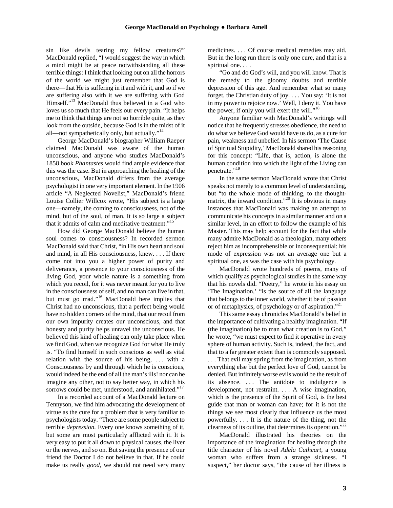sin like devils tearing my fellow creatures?" MacDonald replied, "I would suggest the way in which a mind might be at peace notwithstanding all these terrible things: I think that looking out on all the horrors of the world we might just remember that God is there—that He is suffering in it and with it, and so if we are suffering also with it we are suffering with God Himself."<sup>13</sup> MacDonald thus believed in a God who loves us so much that He feels our every pain. "It helps me to think that things are not so horrible quite, as they look from the outside, because God is in the midst of it all—not sympathetically only, but actually."<sup>14</sup>

George MacDonald's biographer William Raeper claimed MacDonald was aware of the human unconscious, and anyone who studies MacDonald's 1858 book *Phantastes* would find ample evidence that this was the case. But in approaching the healing of the unconscious, MacDonald differs from the average psychologist in one very important element. In the 1906 article "A Neglected Novelist," MacDonald's friend Louise Collier Willcox wrote, "His subject is a large one—namely, the coming to consciousness, not of the mind, but of the soul, of man. It is so large a subject that it admits of calm and meditative treatment."<sup>15</sup>

How did George MacDonald believe the human soul comes to consciousness? In recorded sermon MacDonald said that Christ, "in His own heart and soul and mind, in all His consciousness, knew. . . . If there come not into you a higher power of purity and deliverance, a presence to your consciousness of the living God, your whole nature is a something from which you recoil, for it was never meant for you to live in the consciousness of self, and no man can live in that, but must go mad."<sup>16</sup> MacDonald here implies that Christ had no unconscious, that a perfect being would have no hidden corners of the mind, that our recoil from our own impurity creates our unconscious, and that honesty and purity helps unravel the unconscious. He believed this kind of healing can only take place when we find God, when we recognize God for what He truly is. "To find himself in such conscious as well as vital relation with the source of his being, . . . with a Consciousness by and through which he is conscious, would indeed be the end of all the man's ills! nor can he imagine any other, not to say better way, in which his sorrows could be met, understood, and annihilated."<sup>17</sup>

In a recorded account of a MacDonald lecture on Tennyson, we find him advocating the development of virtue as the cure for a problem that is very familiar to psychologists today. "There are some people subject to terrible *depression.* Every one knows something of it, but some are most particularly afflicted with it. It is very easy to put it all down to physical causes, the liver or the nerves, and so on. But saving the presence of our friend the Doctor I do not believe in that. If he could make us really *good,* we should not need very many medicines. . . . Of course medical remedies may aid. But in the long run there is only one cure, and that is a spiritual one. . . .

"Go and do God's will, and you will know. That is the remedy to the gloomy doubts and terrible depression of this age. And remember what so many forget, the Christian duty of joy. . . . You say: 'It is not in my power to rejoice now.' Well, I deny it. You have the power, if only you will exert the will."<sup>18</sup>

Anyone familiar with MacDonald's writings will notice that he frequently stresses obedience, the need to do what we believe God would have us do, as a cure for pain, weakness and unbelief. In his sermon 'The Cause of Spiritual Stupidity,' MacDonald shared his reasoning for this concept: "Life, that is, action, is alone the human condition into which the light of the Living can penetrate."<sup>19</sup>

In the same sermon MacDonald wrote that Christ speaks not merely to a common level of understanding, but "to the whole mode of thinking, to the thoughtmatrix, the inward condition."<sup>20</sup> It is obvious in many instances that MacDonald was making an attempt to communicate his concepts in a similar manner and on a similar level, in an effort to follow the example of his Master. This may help account for the fact that while many admire MacDonald as a theologian, many others reject him as incomprehensible or inconsequential: his mode of expression was not an average one but a spiritual one, as was the case with his psychology.

MacDonald wrote hundreds of poems, many of which qualify as psychological studies in the same way that his novels did. "Poetry," he wrote in his essay on 'The Imagination,' "is the source of all the language that belongs to the inner world, whether it be of passion or of metaphysics, of psychology or of aspiration."<sup>21</sup>

This same essay chronicles MacDonald's belief in the importance of cultivating a healthy imagination. "If (the imagination) be to man what creation is to God," he wrote, "we must expect to find it operative in every sphere of human activity. Such is, indeed, the fact, and that to a far greater extent than is commonly supposed. . . . That evil may spring from the imagination, as from everything else but the perfect love of God, cannot be denied. But infinitely worse evils would be the result of its absence. ... The antidote to indulgence is development, not restraint. . . . A wise imagination, which is the presence of the Spirit of God, is the best guide that man or woman can have; for it is not the things we see most clearly that influence us the most powerfully. . . . It is the nature of the thing, not the clearness of its outline, that determines its operation."22

MacDonald illustrated his theories on the importance of the imagination for healing through the title character of his novel *Adela Cathcart,* a young woman who suffers from a strange sickness. "I suspect," her doctor says, "the cause of her illness is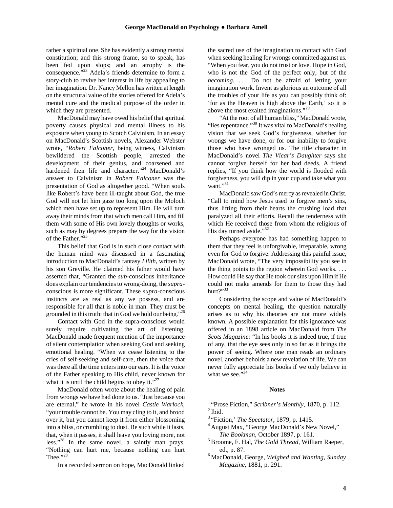rather a spiritual one. She has evidently a strong mental constitution; and this strong frame, so to speak, has been fed upon slops; and an atrophy is the consequence."<sup>23</sup> Adela's friends determine to form a story-club to revive her interest in life by appealing to her imagination. Dr. Nancy Mellon has written at length on the structural value of the stories offered for Adela's mental cure and the medical purpose of the order in which they are presented.

MacDonald may have owed his belief that spiritual poverty causes physical and mental illness to his exposure when young to Scotch Calvinism. In an essay on MacDonald's Scottish novels, Alexander Webster wrote, "*Robert Falconer*, being witness, Calvinism bewildered the Scottish people, arrested the development of their genius, and coarsened and hardened their life and character."<sup>24</sup> MacDonald's answer to Calvinism in *Robert Falconer* was the presentation of God as altogether good. "When souls like Robert's have been ill-taught about God, the true God will not let him gaze too long upon the Moloch which men have set up to represent Him. He will turn away their minds from that which men call Him, and fill them with some of His own lovely thoughts or works, such as may by degrees prepare the way for the vision of the Father."<sup>2</sup>

This belief that God is in such close contact with the human mind was discussed in a fascinating introduction to MacDonald's fantasy *Lilith*, written by his son Greville. He claimed his father would have asserted that, "Granted the *sub*-conscious inheritance does explain our tendencies to wrong-doing, the *supra*conscious is more significant. These *supra*-conscious instincts are as real as any we possess, and are responsible for all that is noble in man. They must be grounded in this truth: that in God we hold our being."<sup>26</sup>

Contact with God in the supra-conscious would surely require cultivating the art of listening. MacDonald made frequent mention of the importance of silent contemplation when seeking God and seeking emotional healing. "When we cease listening to the cries of self-seeking and self-care, then the voice that was there all the time enters into our ears. It is the voice of the Father speaking to His child, never known for what it is until the child begins to obey it."<sup>27</sup>

MacDonald often wrote about the healing of pain from wrongs we have had done to us. "Just because you are eternal," he wrote in his novel *Castle Warlock*, "your trouble cannot be. You may cling to it, and brood over it, but you cannot keep it from either blossoming into a bliss, or crumbling to dust. Be such while it lasts, that, when it passes, it shall leave you loving more, not less."<sup>28</sup> In the same novel, a saintly man prays, "Nothing can hurt me, because nothing can hurt Thee." $28$ 

In a recorded sermon on hope, MacDonald linked

the sacred use of the imagination to contact with God when seeking healing for wrongs committed against us. "When you fear, you do not trust or love. Hope in God, who is not the God of the perfect only, but of the *becoming.* . . . Do not be afraid of letting your imagination work. Invent as glorious an outcome of all the troubles of your life as you can possibly think of: 'for as the Heaven is high above the Earth,' so it is above the most exalted imaginations."29

"At the root of all human bliss," MacDonald wrote, "lies repentance."<sup>30</sup> It was vital to MacDonald's healing vision that we seek God's forgiveness, whether for wrongs we have done, or for our inability to forgive those who have wronged us. The title character in MacDonald's novel *The Vicar's Daughter* says she cannot forgive herself for her bad deeds. A friend replies, "If you think how the world is flooded with forgiveness, you will dip in your cup and take what you want."31

MacDonald saw God's mercy as revealed in Christ. "Call to mind how Jesus used to forgive men's sins, thus lifting from their hearts the crushing load that paralyzed all their efforts. Recall the tenderness with which He received those from whom the religious of His day turned aside."<sup>32</sup>

Perhaps everyone has had something happen to them that they feel is unforgivable, irreparable, wrong even for God to forgive. Addressing this painful issue, MacDonald wrote, "The very impossibility you see in the thing points to the region wherein God works. . . . How could He say that He took our sins upon Him if He could not make amends for them to those they had hurt $?$ <sup>33</sup>

Considering the scope and value of MacDonald's concepts on mental healing, the question naturally arises as to why his theories are not more widely known. A possible explanation for this ignorance was offered in an 1898 article on MacDonald from *The Scots Magazine:* "In his books it is indeed true, if true of any, that the eye sees only in so far as it brings the power of seeing. Where one man reads an ordinary novel, another beholds a new revelation of life. We can never fully appreciate his books if we only believe in what we see."<sup>34</sup>

#### **Notes**

<sup>1</sup> "Prose Fiction," *Scribner's Monthly*, 1870, p. 112.<br><sup>2</sup> Ibid.<br><sup>3</sup> "Fiction,' *The Spectator*, 1879, p. 1415.

- 
- <sup>4</sup> August Max, "George MacDonald's New Novel,"
- *The Bookman,* October 1897, p. 161. 5 Broome, F. Hal, *The Gold Thread,* William Raeper, ed., p. 87. 6 MacDonald, George, *Weighed and Wanting, Sunday*
- *Magazine,* 1881, p. 291.